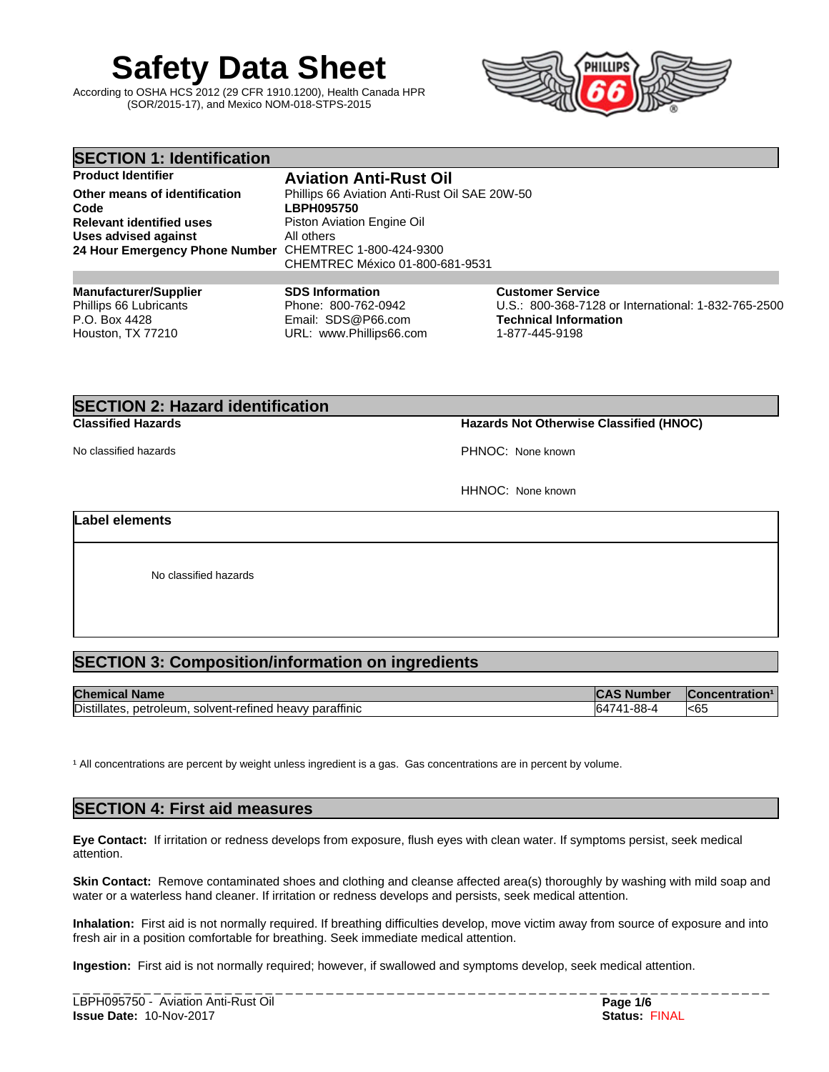# **Safety Data Sheet**

According to OSHA HCS 2012 (29 CFR 1910.1200), Health Canada HPR (SOR/2015-17), and Mexico NOM-018-STPS-2015



| <b>SECTION 1: Identification</b>                       |                                               |                                                     |
|--------------------------------------------------------|-----------------------------------------------|-----------------------------------------------------|
| <b>Product Identifier</b>                              | <b>Aviation Anti-Rust Oil</b>                 |                                                     |
| Other means of identification                          | Phillips 66 Aviation Anti-Rust Oil SAE 20W-50 |                                                     |
| Code                                                   | <b>LBPH095750</b>                             |                                                     |
| <b>Relevant identified uses</b>                        | Piston Aviation Engine Oil                    |                                                     |
| Uses advised against                                   | All others                                    |                                                     |
| 24 Hour Emergency Phone Number CHEMTREC 1-800-424-9300 |                                               |                                                     |
|                                                        | CHEMTREC México 01-800-681-9531               |                                                     |
|                                                        |                                               |                                                     |
| <b>Manufacturer/Supplier</b>                           | <b>SDS Information</b>                        | <b>Customer Service</b>                             |
| Phillips 66 Lubricants                                 | Phone: 800-762-0942                           | U.S.: 800-368-7128 or International: 1-832-765-2500 |
| P.O. Box 4428                                          | Email: SDS@P66.com                            | <b>Technical Information</b>                        |
| Houston, TX 77210                                      | URL: www.Phillips66.com                       | 1-877-445-9198                                      |

# **SECTION 2: Hazard identification**

**Classified Hazards Hazards Not Otherwise Classified (HNOC)**

No classified hazards **PHNOC:** None known

HHNOC: None known

**Label elements**

No classified hazards

# **SECTION 3: Composition/information on ingredients**

| <b>Chemical</b><br><b>Name</b>                                               | ∽<br>nbe                 | tration <sup>1</sup><br>acenr<br>יט |
|------------------------------------------------------------------------------|--------------------------|-------------------------------------|
| .<br>Distillates.<br><br>paraffinic<br>solvent-refined<br>petroleum<br>heavy | ററ<br><b>KL</b><br>-00-1 | <65                                 |

<sup>1</sup> All concentrations are percent by weight unless ingredient is a gas. Gas concentrations are in percent by volume.

# **SECTION 4: First aid measures**

**Eye Contact:** Ifirritation or redness develops from exposure, flush eyes with clean water. If symptoms persist, seek medical attention.

**Skin Contact:** Remove contaminated shoes and clothing and cleanse affected area(s) thoroughly by washing with mild soap and water or a waterless hand cleaner. If irritation or redness develops and persists, seek medical attention.

Inhalation: First aid is not normally required. If breathing difficulties develop, move victim away from source of exposure and into fresh air in a position comfortable for breathing. Seek immediate medical attention.

**Ingestion:** First aid is not normally required; however, if swallowed and symptoms develop, seek medical attention.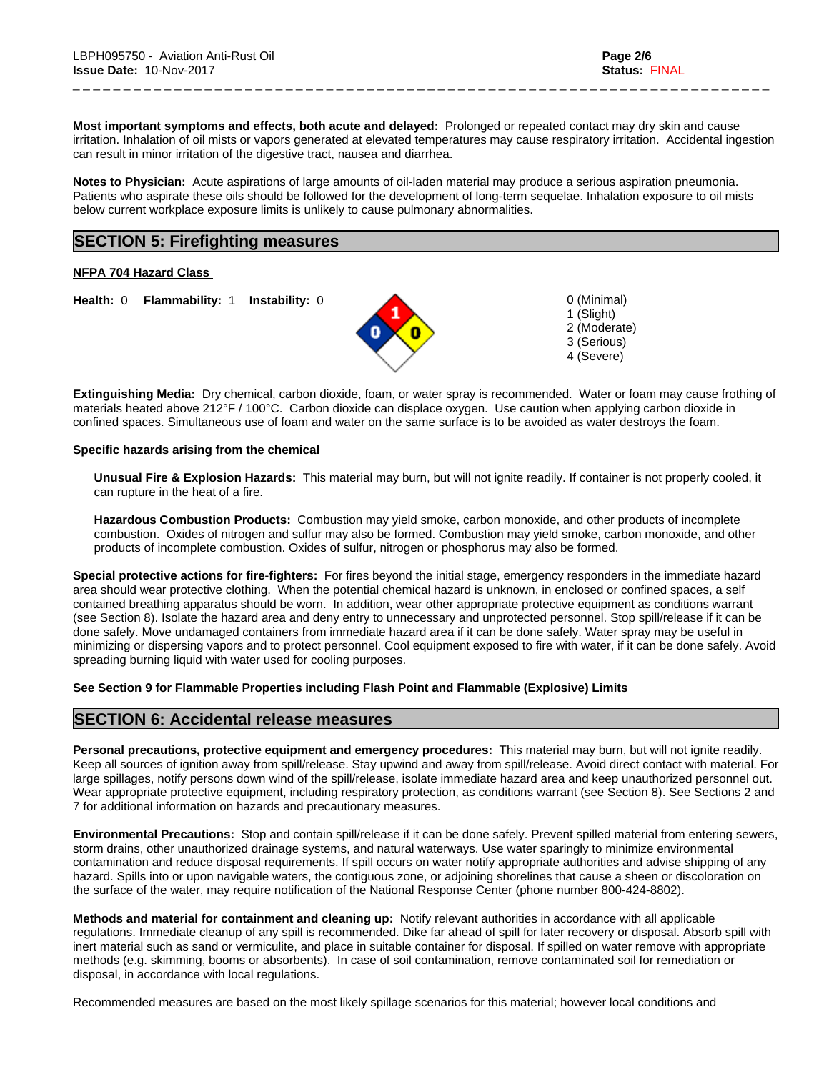**Most important symptoms and effects, both acute and delayed:** Prolonged or repeated contact may dry skin and cause irritation. Inhalation of oil mists or vapors generated at elevated temperatures may cause respiratory irritation. Accidental ingestion can result in minor irritation of the digestive tract, nausea and diarrhea.

\_ \_ \_ \_ \_ \_ \_ \_ \_ \_ \_ \_ \_ \_ \_ \_ \_ \_ \_ \_ \_ \_ \_ \_ \_ \_ \_ \_ \_ \_ \_ \_ \_ \_ \_ \_ \_ \_ \_ \_ \_ \_ \_ \_ \_ \_ \_ \_ \_ \_ \_ \_ \_ \_ \_ \_ \_ \_ \_ \_ \_ \_ \_ \_ \_ \_ \_ \_ \_

**Notes to Physician:**Acute aspirations of large amounts of oil-laden material may produce a serious aspiration pneumonia. Patients who aspirate these oils should be followed for the development of long-term sequelae. Inhalation exposure to oil mists below current workplace exposure limits is unlikely to cause pulmonary abnormalities.

# **SECTION 5: Firefighting measures**

**NFPA 704 Hazard Class**

**Health:** 0 **Flammability:** 1 **Instability:** 0 0 (Minimal)



1 (Slight) 2 (Moderate) 3 (Serious) 4 (Severe)

**Extinguishing Media:** Dry chemical, carbon dioxide, foam, or water spray is recommended. Water or foam may cause frothing of materials heated above 212°F / 100°C. Carbon dioxide can displace oxygen. Use caution when applying carbon dioxide in confined spaces. Simultaneous use of foam and water on the same surface is to be avoided as water destroys the foam.

### **Specific hazards arising from the chemical**

**Unusual Fire & Explosion Hazards:** This material may burn, butwill not ignite readily. If container is not properly cooled, it can rupture in the heat of a fire.

**Hazardous Combustion Products:** Combustion may yield smoke, carbon monoxide, and other products of incomplete combustion. Oxides of nitrogen and sulfur may also be formed. Combustion may yield smoke, carbon monoxide, and other products of incomplete combustion. Oxides of sulfur, nitrogen or phosphorus may also be formed.

**Special protective actions for fire-fighters:** For fires beyond the initial stage, emergency responders in the immediate hazard area should wear protective clothing. When the potential chemical hazard is unknown, in enclosed or confined spaces, a self contained breathing apparatus should be worn. In addition, wear other appropriate protective equipment as conditions warrant (see Section 8). Isolate the hazard area and deny entry to unnecessary and unprotected personnel. Stop spill/release if it can be done safely. Move undamaged containers from immediate hazard area if it can be done safely. Water spray may be useful in minimizing or dispersing vapors and to protect personnel. Cool equipment exposed to fire with water, if it can be done safely. Avoid spreading burning liquid with water used for cooling purposes.

### **See Section 9 for Flammable Properties including Flash Point and Flammable (Explosive) Limits**

### **SECTION 6: Accidental release measures**

**Personal precautions, protective equipment and emergency procedures:** This material may burn, butwill not ignite readily. Keep all sources of ignition away from spill/release. Stay upwind and away from spill/release. Avoid direct contact with material. For large spillages, notify persons down wind of the spill/release, isolate immediate hazard area and keep unauthorized personnel out. Wear appropriate protective equipment, including respiratory protection, as conditions warrant (see Section 8). See Sections 2 and 7 for additional information on hazards and precautionary measures.

**Environmental Precautions:** Stop and contain spill/release if it can be done safely. Prevent spilled material from entering sewers, storm drains, other unauthorized drainage systems, and natural waterways. Use water sparingly to minimize environmental contamination and reduce disposal requirements. If spill occurs on water notify appropriate authorities and advise shipping of any hazard. Spills into or upon navigable waters, the contiguous zone, or adjoining shorelines that cause a sheen or discoloration on the surface of the water, may require notification of the National Response Center (phone number 800-424-8802).

**Methods and material for containment and cleaning up:** Notify relevant authorities in accordance with all applicable regulations. Immediate cleanup of any spill is recommended. Dike far ahead of spill for later recovery or disposal. Absorb spill with inert material such as sand or vermiculite, and place in suitable container for disposal. If spilled on water remove with appropriate methods (e.g. skimming, booms or absorbents). In case of soil contamination, remove contaminated soil for remediation or disposal, in accordance with local regulations.

Recommended measures are based on the most likely spillage scenarios for this material; however local conditions and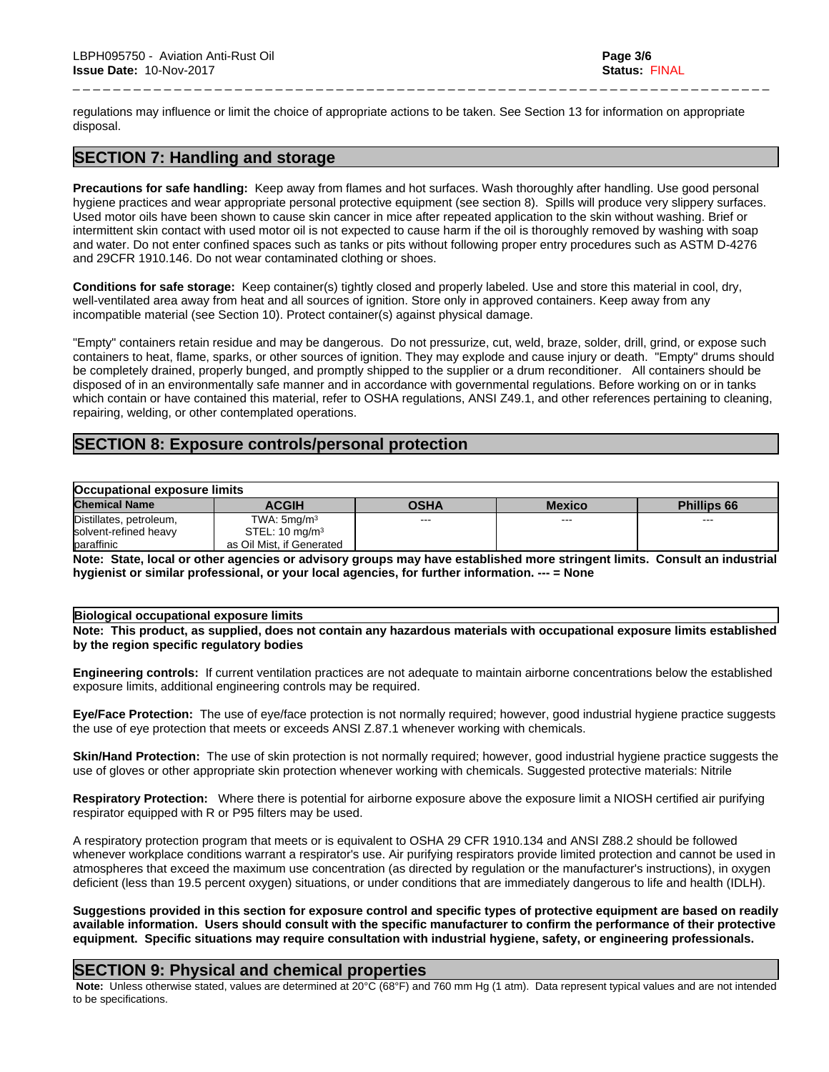regulations may influence or limit the choice of appropriate actions to be taken. See Section 13 for information on appropriate disposal.

\_ \_ \_ \_ \_ \_ \_ \_ \_ \_ \_ \_ \_ \_ \_ \_ \_ \_ \_ \_ \_ \_ \_ \_ \_ \_ \_ \_ \_ \_ \_ \_ \_ \_ \_ \_ \_ \_ \_ \_ \_ \_ \_ \_ \_ \_ \_ \_ \_ \_ \_ \_ \_ \_ \_ \_ \_ \_ \_ \_ \_ \_ \_ \_ \_ \_ \_ \_ \_

# **SECTION 7: Handling and storage**

**Precautions for safe handling:** Keep away from flames and hot surfaces. Wash thoroughly after handling. Use good personal hygiene practices and wear appropriate personal protective equipment (see section 8). Spills will produce very slippery surfaces. Used motor oils have been shown to cause skin cancer in mice after repeated application to the skin without washing. Brief or intermittent skin contact with used motor oil is not expected to cause harm if the oil is thoroughly removed by washing with soap and water. Do not enter confined spaces such as tanks or pits without following proper entry procedures such as ASTM D-4276 and 29CFR 1910.146. Do not wear contaminated clothing or shoes.

**Conditions for safe storage:**Keep container(s) tightly closed and properly labeled. Use and store this material in cool, dry, well-ventilated area away from heat and all sources of ignition. Store only in approved containers. Keep away from any incompatible material (see Section 10). Protect container(s) against physical damage.

"Empty" containers retain residue and may be dangerous. Do not pressurize, cut, weld, braze, solder, drill, grind, or expose such containers to heat, flame, sparks, or other sources of ignition. They may explode and cause injury or death."Empty" drums should be completely drained, properly bunged, and promptly shipped to the supplier or a drum reconditioner. All containers should be disposed of in an environmentally safe manner and in accordance with governmentalregulations. Before working on or in tanks which contain or have contained this material, refer to OSHA regulations, ANSI Z49.1, and other references pertaining to cleaning, repairing, welding, or other contemplated operations.

# **SECTION 8: Exposure controls/personal protection**

| <b>Occupational exposure limits</b> |                           |             |               |                    |
|-------------------------------------|---------------------------|-------------|---------------|--------------------|
| <b>Chemical Name</b>                | <b>ACGIH</b>              | <b>OSHA</b> | <b>Mexico</b> | <b>Phillips 66</b> |
| Distillates, petroleum,             | TWA: 5mq/m <sup>3</sup>   | $- - -$     | $--$          | $\sim$ $\sim$      |
| solvent-refined heavy               | STEL: $10 \text{ mg/m}^3$ |             |               |                    |
| baraffinic                          | as Oil Mist, if Generated |             |               |                    |

Note: State, local or other agencies or advisory groups may have established more stringent limits. Consult an industrial **hygienist or similar professional, or your local agencies, for further information. --- = None**

### **Biological occupational exposure limits**

Note: This product, as supplied, does not contain any hazardous materials with occupational exposure limits established **by the region specific regulatory bodies**

**Engineering controls:** If current ventilation practices are not adequate to maintain airborne concentrations below the established exposure limits, additional engineering controls may be required.

**Eye/Face Protection:** The use of eye/face protection is not normally required; however, good industrial hygiene practice suggests the use of eye protection that meets or exceeds ANSI Z.87.1 whenever working with chemicals.

**Skin/Hand Protection:** The use of skin protection is not normally required; however, good industrial hygiene practice suggests the use of gloves or other appropriate skin protection whenever working with chemicals. Suggested protective materials: Nitrile

**Respiratory Protection:** Where there is potential for airborne exposure above the exposure limit a NIOSH certified air purifying respirator equipped with R or P95 filters may be used.

A respiratory protection program that meets or is equivalent to OSHA 29 CFR 1910.134 and ANSI Z88.2 should be followed whenever workplace conditions warrant a respirator's use. Air purifying respirators provide limited protection and cannot be used in atmospheres that exceed the maximum use concentration (as directed by regulation or the manufacturer's instructions), in oxygen deficient (less than 19.5 percent oxygen) situations, or under conditions that are immediately dangerous to life and health (IDLH).

Suggestions provided in this section for exposure control and specific types of protective equipment are based on readily available information. Users should consult with the specific manufacturer to confirm the performance of their protective **equipment. Specific situations may require consultation with industrial hygiene, safety, or engineering professionals.**

# **SECTION 9: Physical and chemical properties**

 **Note:** Unless otherwise stated, values are determined at 20°C (68°F) and 760 mm Hg (1 atm). Data represent typical values and are not intended to be specifications.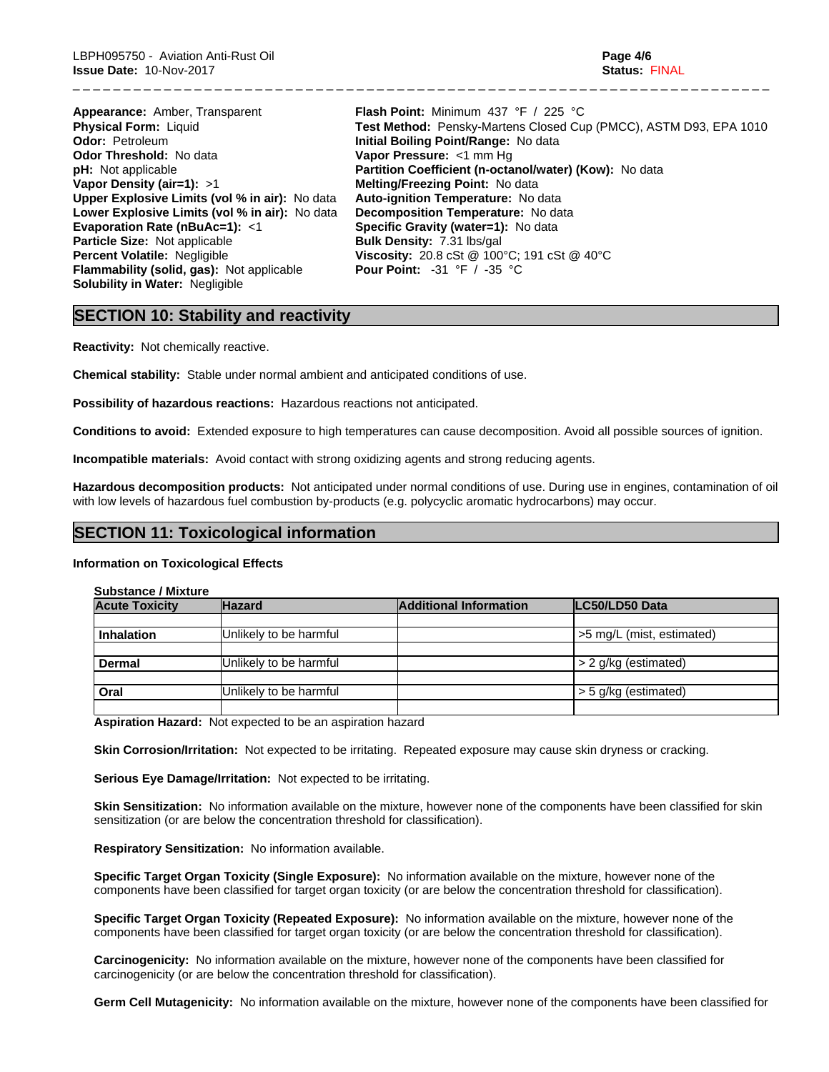| <b>Appearance:</b> Amber, Transparent                 | <b>Flash Point:</b> Minimum 437 °F / 225 °C                       |
|-------------------------------------------------------|-------------------------------------------------------------------|
| <b>Physical Form: Liquid</b>                          | Test Method: Pensky-Martens Closed Cup (PMCC), ASTM D93, EPA 1010 |
| <b>Odor: Petroleum</b>                                | Initial Boiling Point/Range: No data                              |
| <b>Odor Threshold: No data</b>                        | Vapor Pressure: <1 mm Hg                                          |
| <b>pH:</b> Not applicable                             | Partition Coefficient (n-octanol/water) (Kow): No data            |
| Vapor Density (air=1): $>1$                           | Melting/Freezing Point: No data                                   |
| <b>Upper Explosive Limits (vol % in air):</b> No data | Auto-ignition Temperature: No data                                |
| Lower Explosive Limits (vol % in air): No data        | Decomposition Temperature: No data                                |
| Evaporation Rate ( $nBuAc=1$ ): <1                    | Specific Gravity (water=1): No data                               |
| <b>Particle Size: Not applicable</b>                  | <b>Bulk Density: 7.31 lbs/gal</b>                                 |
| <b>Percent Volatile: Negligible</b>                   | Viscosity: 20.8 cSt @ 100°C; 191 cSt @ 40°C                       |
| <b>Flammability (solid, gas):</b> Not applicable      | <b>Pour Point:</b> $-31 \degree F$ / $-35 \degree C$              |
| <b>Solubility in Water: Negligible</b>                |                                                                   |

\_ \_ \_ \_ \_ \_ \_ \_ \_ \_ \_ \_ \_ \_ \_ \_ \_ \_ \_ \_ \_ \_ \_ \_ \_ \_ \_ \_ \_ \_ \_ \_ \_ \_ \_ \_ \_ \_ \_ \_ \_ \_ \_ \_ \_ \_ \_ \_ \_ \_ \_ \_ \_ \_ \_ \_ \_ \_ \_ \_ \_ \_ \_ \_ \_ \_ \_ \_ \_

# **SECTION 10: Stability and reactivity**

**Reactivity:** Not chemically reactive.

**Chemical stability:** Stable under normal ambient and anticipated conditions of use.

**Possibility of hazardous reactions:** Hazardous reactions not anticipated.

**Conditions to avoid:** Extended exposure to high temperatures can cause decomposition. Avoid all possible sources of ignition.

**Incompatible materials:** Avoid contact with strong oxidizing agents and strong reducing agents.

**Hazardous decomposition products:** Not anticipated under normal conditions of use. During use in engines, contamination of oil with low levels of hazardous fuel combustion by-products (e.g. polycyclic aromatic hydrocarbons) may occur.

# **SECTION 11: Toxicological information**

### **Information on Toxicological Effects**

**Substance / Mixture**

| <b>Acute Toxicity</b> | <b>Hazard</b>          | <b>Additional Information</b> | LC50/LD50 Data            |
|-----------------------|------------------------|-------------------------------|---------------------------|
| <b>Inhalation</b>     | Unlikely to be harmful |                               | >5 mg/L (mist, estimated) |
| Dermal                | Unlikely to be harmful |                               | > 2 g/kg (estimated)      |
| Oral                  | Unlikely to be harmful |                               | > 5 g/kg (estimated)      |

**Aspiration Hazard:** Not expected to be an aspiration hazard

**Skin Corrosion/Irritation:** Not expected to be irritating. Repeated exposure may cause skin dryness or cracking.

**Serious Eye Damage/Irritation:** Not expected to be irritating.

**Skin Sensitization:** No information available on the mixture, however none of the components have been classified for skin sensitization (or are below the concentration threshold for classification).

**Respiratory Sensitization:** No information available.

**Specific Target Organ Toxicity (Single Exposure):** No information available on the mixture, however none of the components have been classified for target organ toxicity (or are below the concentration threshold for classification).

**Specific Target Organ Toxicity (Repeated Exposure):** No information available on the mixture, however none of the components have been classified for target organ toxicity (or are below the concentration threshold for classification).

**Carcinogenicity:** No information available on the mixture, however none of the components have been classified for carcinogenicity (or are below the concentration threshold for classification).

**Germ Cell Mutagenicity:** No information available on the mixture, however none of the components have been classified for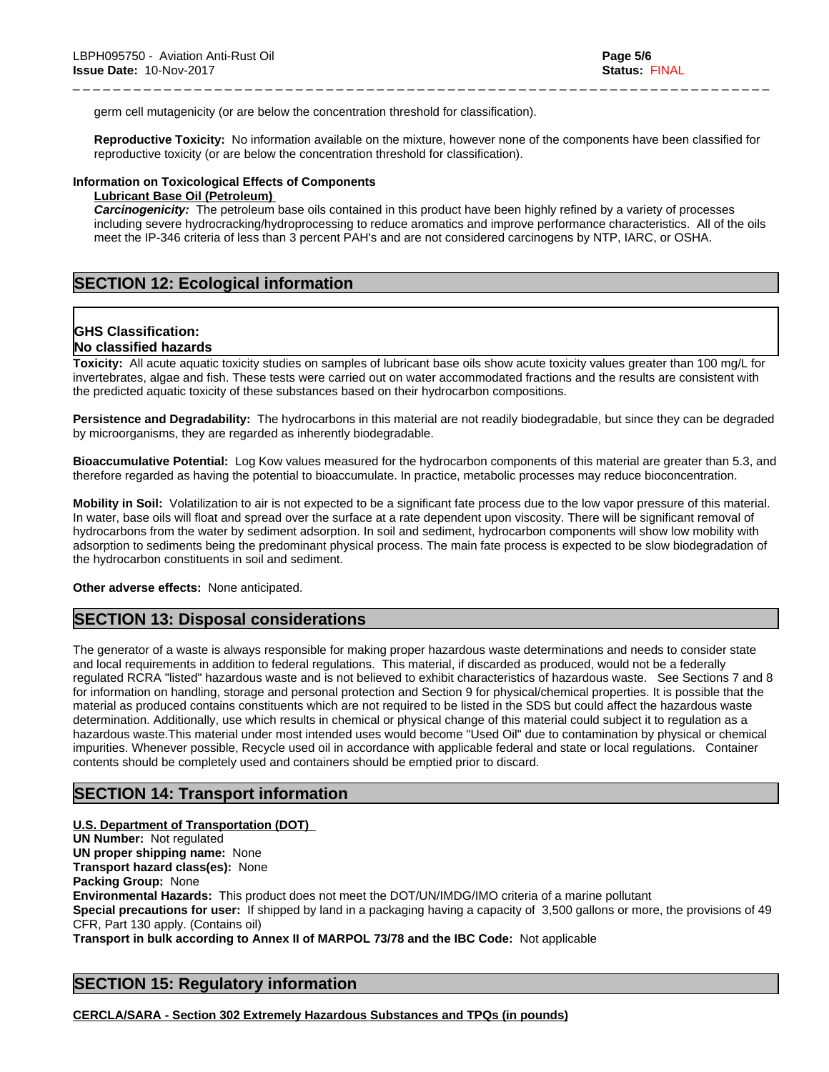germ cell mutagenicity (or are below the concentration threshold for classification).

**Reproductive Toxicity:** No information available on the mixture, however none of the components have been classified for reproductive toxicity (or are below the concentration threshold for classification).

\_ \_ \_ \_ \_ \_ \_ \_ \_ \_ \_ \_ \_ \_ \_ \_ \_ \_ \_ \_ \_ \_ \_ \_ \_ \_ \_ \_ \_ \_ \_ \_ \_ \_ \_ \_ \_ \_ \_ \_ \_ \_ \_ \_ \_ \_ \_ \_ \_ \_ \_ \_ \_ \_ \_ \_ \_ \_ \_ \_ \_ \_ \_ \_ \_ \_ \_ \_ \_

### **Information on Toxicological Effects of Components**

### **Lubricant Base Oil (Petroleum)**

*Carcinogenicity:* The petroleum base oils contained in this product have been highly refined by a variety of processes including severe hydrocracking/hydroprocessing to reduce aromatics and improve performance characteristics. All of the oils meet the IP-346 criteria of less than 3 percent PAH's and are not considered carcinogens by NTP, IARC, or OSHA.

# **SECTION 12: Ecological information**

# **GHS Classification:**

# **No classified hazards**

**Toxicity:** All acute aquatic toxicity studies on samples of lubricant base oils show acute toxicity values greater than 100 mg/L for invertebrates, algae and fish. These tests were carried out on water accommodated fractions and the results are consistent with the predicted aquatic toxicity of these substances based on their hydrocarbon compositions.

**Persistence and Degradability:** The hydrocarbons in this material are not readily biodegradable, but since they can be degraded by microorganisms, they are regarded as inherently biodegradable.

**Bioaccumulative Potential:** Log Kow values measured for the hydrocarbon components of this material are greater than 5.3, and therefore regarded as having the potential to bioaccumulate. In practice, metabolic processes may reduce bioconcentration.

**Mobility in Soil:** Volatilization to air is not expected to be a significant fate process due to the low vapor pressure of this material. In water, base oils will float and spread over the surface at a rate dependent upon viscosity. There will be significant removal of hydrocarbons from the water by sediment adsorption. In soil and sediment, hydrocarbon components will show low mobility with adsorption to sediments being the predominant physical process. The main fate process is expected to be slow biodegradation of the hydrocarbon constituents in soil and sediment.

**Other adverse effects:** None anticipated.

# **SECTION 13: Disposal considerations**

The generator of a waste is always responsible for making proper hazardous waste determinations and needs to consider state and local requirements in addition to federal regulations. This material, if discarded as produced, would not be a federally regulated RCRA "listed" hazardous waste and is not believed to exhibit characteristics of hazardous waste. See Sections 7 and 8 for information on handling, storage and personal protection and Section 9 for physical/chemical properties. It is possible that the material as produced contains constituents which are not required to be listed in the SDS but could affect the hazardous waste determination. Additionally, use which results in chemical or physical change of this material could subject it to regulation as a hazardous waste.This material under most intended uses would become "Used Oil" due to contamination by physical or chemical impurities. Whenever possible, Recycle used oil in accordance with applicable federal and state or local regulations. Container contents should be completely used and containers should be emptied prior to discard.

### **SECTION 14: Transport information**

**U.S. Department of Transportation (DOT) UN Number:** Not regulated **UN proper shipping name:** None **Transport hazard class(es):** None **Packing Group:** None **Environmental Hazards:** This product does not meet the DOT/UN/IMDG/IMO criteria of a marine pollutant **Special precautions for user:** If shipped by land in a packaging having a capacity of 3,500 gallons or more, the provisions of 49 CFR, Part 130 apply. (Contains oil) **Transport in bulk according to Annex II of MARPOL 73/78 and the IBC Code:** Not applicable

# **SECTION 15: Regulatory information**